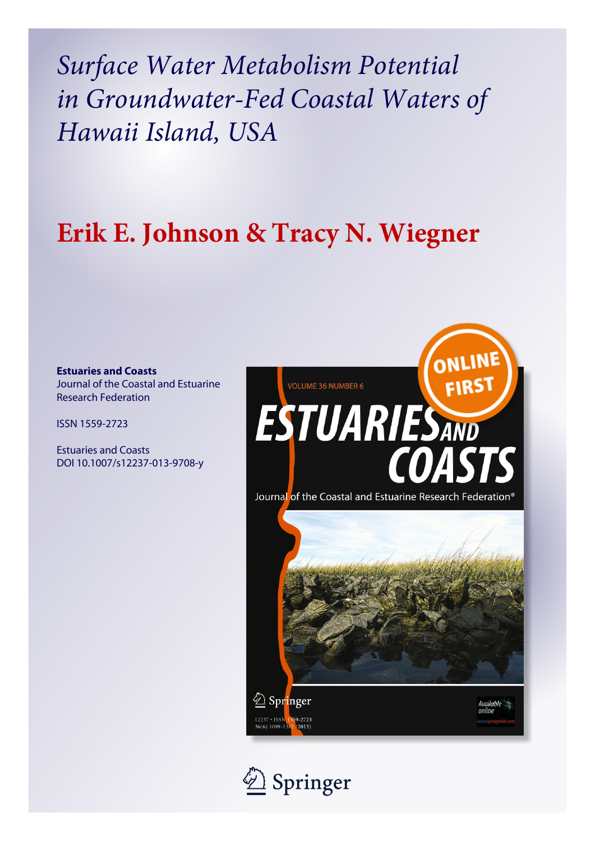*Surface Water Metabolism Potential in Groundwater-Fed Coastal Waters of Hawaii Island, USA*

# **Erik E. Johnson & Tracy N. Wiegner**

**Estuaries and Coasts** Journal of the Coastal and Estuarine Research Federation

ISSN 1559-2723

Estuaries and Coasts DOI 10.1007/s12237-013-9708-y



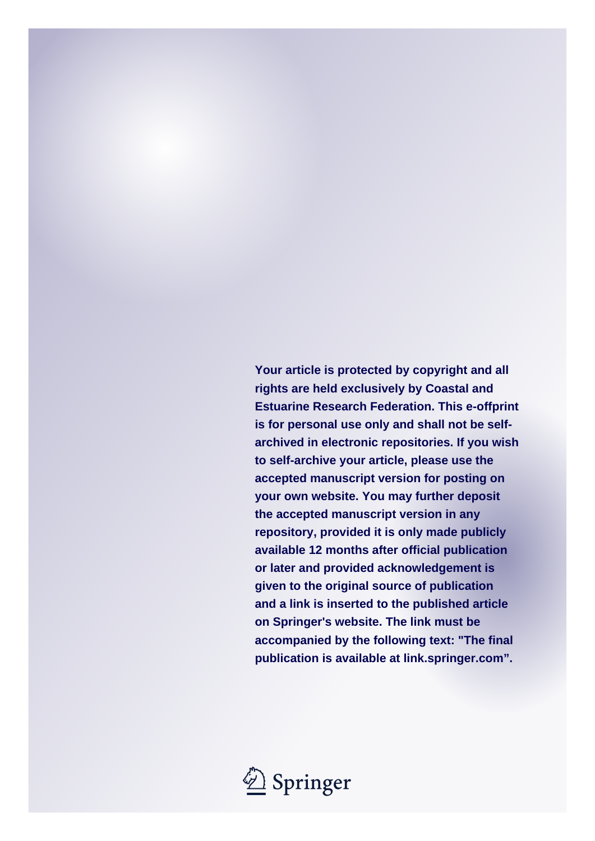**Your article is protected by copyright and all rights are held exclusively by Coastal and Estuarine Research Federation. This e-offprint is for personal use only and shall not be selfarchived in electronic repositories. If you wish to self-archive your article, please use the accepted manuscript version for posting on your own website. You may further deposit the accepted manuscript version in any repository, provided it is only made publicly available 12 months after official publication or later and provided acknowledgement is given to the original source of publication and a link is inserted to the published article on Springer's website. The link must be accompanied by the following text: "The final publication is available at link.springer.com".**

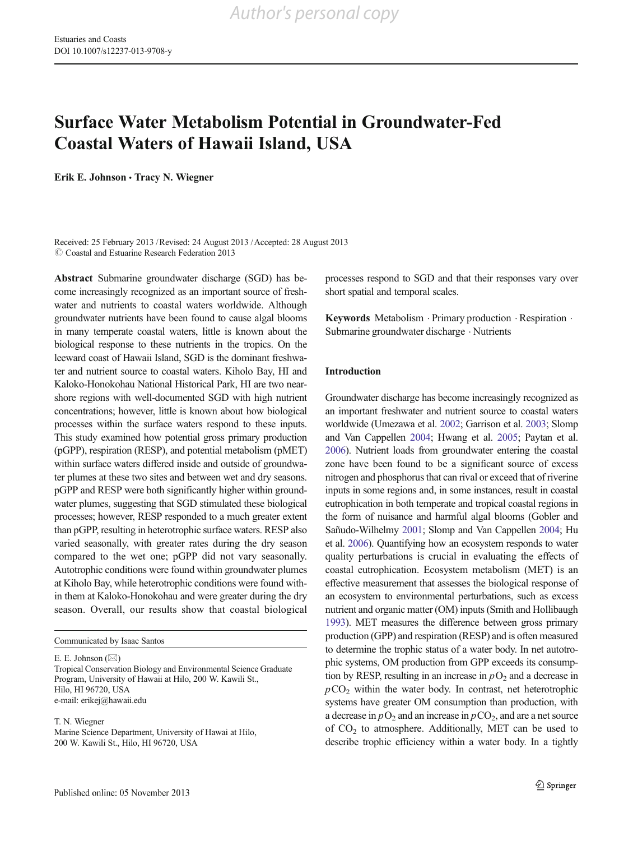# Surface Water Metabolism Potential in Groundwater-Fed Coastal Waters of Hawaii Island, USA

Erik E. Johnson & Tracy N. Wiegner

Received: 25 February 2013 /Revised: 24 August 2013 /Accepted: 28 August 2013  $\odot$  Coastal and Estuarine Research Federation 2013

Abstract Submarine groundwater discharge (SGD) has become increasingly recognized as an important source of freshwater and nutrients to coastal waters worldwide. Although groundwater nutrients have been found to cause algal blooms in many temperate coastal waters, little is known about the biological response to these nutrients in the tropics. On the leeward coast of Hawaii Island, SGD is the dominant freshwater and nutrient source to coastal waters. Kiholo Bay, HI and Kaloko-Honokohau National Historical Park, HI are two nearshore regions with well-documented SGD with high nutrient concentrations; however, little is known about how biological processes within the surface waters respond to these inputs. This study examined how potential gross primary production (pGPP), respiration (RESP), and potential metabolism (pMET) within surface waters differed inside and outside of groundwater plumes at these two sites and between wet and dry seasons. pGPP and RESP were both significantly higher within groundwater plumes, suggesting that SGD stimulated these biological processes; however, RESP responded to a much greater extent than pGPP, resulting in heterotrophic surface waters. RESP also varied seasonally, with greater rates during the dry season compared to the wet one; pGPP did not vary seasonally. Autotrophic conditions were found within groundwater plumes at Kiholo Bay, while heterotrophic conditions were found within them at Kaloko-Honokohau and were greater during the dry season. Overall, our results show that coastal biological

Communicated by Isaac Santos

E. E. Johnson ( $\boxtimes$ )

Tropical Conservation Biology and Environmental Science Graduate Program, University of Hawaii at Hilo, 200 W. Kawili St., Hilo, HI 96720, USA e-mail: erikej@hawaii.edu

T. N. Wiegner

Marine Science Department, University of Hawai at Hilo, 200 W. Kawili St., Hilo, HI 96720, USA

processes respond to SGD and that their responses vary over short spatial and temporal scales.

Keywords Metabolism . Primary production . Respiration . Submarine groundwater discharge . Nutrients

### Introduction

Groundwater discharge has become increasingly recognized as an important freshwater and nutrient source to coastal waters worldwide (Umezawa et al. [2002](#page-13-0); Garrison et al. [2003](#page-13-0); Slomp and Van Cappellen [2004](#page-13-0); Hwang et al. [2005](#page-13-0); Paytan et al. [2006](#page-13-0)). Nutrient loads from groundwater entering the coastal zone have been found to be a significant source of excess nitrogen and phosphorus that can rival or exceed that of riverine inputs in some regions and, in some instances, result in coastal eutrophication in both temperate and tropical coastal regions in the form of nuisance and harmful algal blooms (Gobler and Sañudo-Wilhelmy [2001;](#page-13-0) Slomp and Van Cappellen [2004;](#page-13-0) Hu et al. [2006\)](#page-13-0). Quantifying how an ecosystem responds to water quality perturbations is crucial in evaluating the effects of coastal eutrophication. Ecosystem metabolism (MET) is an effective measurement that assesses the biological response of an ecosystem to environmental perturbations, such as excess nutrient and organic matter (OM) inputs (Smith and Hollibaugh [1993](#page-13-0)). MET measures the difference between gross primary production (GPP) and respiration (RESP) and is often measured to determine the trophic status of a water body. In net autotrophic systems, OM production from GPP exceeds its consumption by RESP, resulting in an increase in  $pO<sub>2</sub>$  and a decrease in  $pCO<sub>2</sub>$  within the water body. In contrast, net heterotrophic systems have greater OM consumption than production, with a decrease in  $pO_2$  and an increase in  $pCO_2$ , and are a net source of  $CO<sub>2</sub>$  to atmosphere. Additionally, MET can be used to describe trophic efficiency within a water body. In a tightly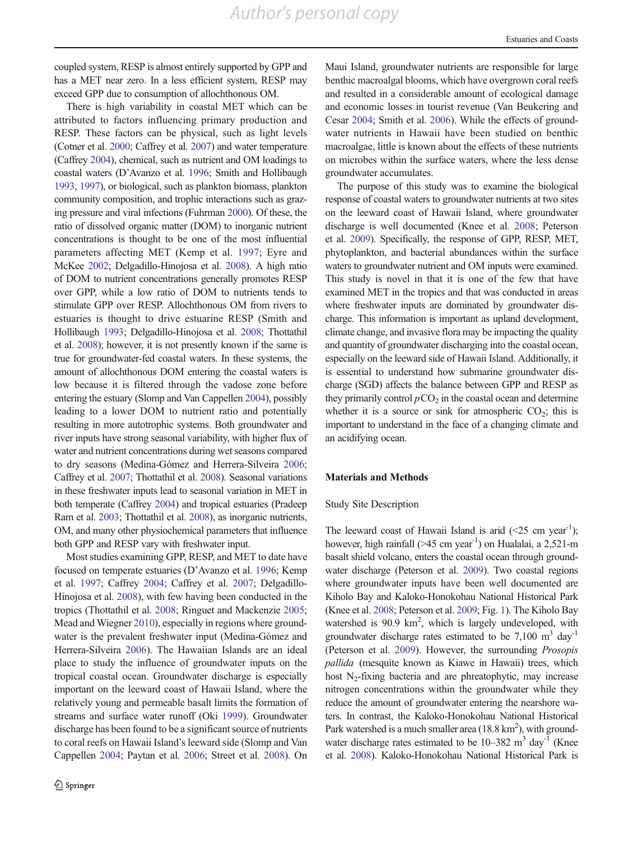coupled system, RESP is almost entirely supported by GPP and has a MET near zero. In a less efficient system, RESP may exceed GPP due to consumption of allochthonous OM.

There is high variability in coastal MET which can be attributed to factors influencing primary production and RESP. These factors can be physical, such as light levels (Cotner et al. [2000](#page-12-0); Caffrey et al. [2007\)](#page-12-0) and water temperature (Caffrey [2004](#page-12-0)), chemical, such as nutrient and OM loadings to coastal waters (D'Avanzo et al. [1996](#page-12-0); Smith and Hollibaugh [1993](#page-13-0), [1997](#page-13-0)), or biological, such as plankton biomass, plankton community composition, and trophic interactions such as grazing pressure and viral infections (Fuhrman [2000](#page-13-0)). Of these, the ratio of dissolved organic matter (DOM) to inorganic nutrient concentrations is thought to be one of the most influential parameters affecting MET (Kemp et al. [1997;](#page-13-0) Eyre and McKee [2002](#page-13-0); Delgadillo-Hinojosa et al. [2008](#page-12-0)). A high ratio of DOM to nutrient concentrations generally promotes RESP over GPP, while a low ratio of DOM to nutrients tends to stimulate GPP over RESP. Allochthonous OM from rivers to estuaries is thought to drive estuarine RESP (Smith and Hollibaugh [1993;](#page-13-0) Delgadillo-Hinojosa et al. [2008;](#page-12-0) Thottathil et al. [2008\)](#page-13-0); however, it is not presently known if the same is true for groundwater-fed coastal waters. In these systems, the amount of allochthonous DOM entering the coastal waters is low because it is filtered through the vadose zone before entering the estuary (Slomp and Van Cappellen [2004\)](#page-13-0), possibly leading to a lower DOM to nutrient ratio and potentially resulting in more autotrophic systems. Both groundwater and river inputs have strong seasonal variability, with higher flux of water and nutrient concentrations during wet seasons compared to dry seasons (Medina-Gómez and Herrera-Silveira [2006](#page-13-0); Caffrey et al. [2007;](#page-12-0) Thottathil et al. [2008\)](#page-13-0). Seasonal variations in these freshwater inputs lead to seasonal variation in MET in both temperate (Caffrey [2004](#page-12-0)) and tropical estuaries (Pradeep Ram et al. [2003](#page-13-0); Thottathil et al. [2008](#page-13-0)), as inorganic nutrients, OM, and many other physiochemical parameters that influence both GPP and RESP vary with freshwater input.

Most studies examining GPP, RESP, and MET to date have focused on temperate estuaries (D'Avanzo et al. [1996;](#page-12-0) Kemp et al. [1997;](#page-13-0) Caffrey [2004;](#page-12-0) Caffrey et al. [2007;](#page-12-0) Delgadillo-Hinojosa et al. [2008\)](#page-12-0), with few having been conducted in the tropics (Thottathil et al. [2008](#page-13-0); Ringuet and Mackenzie [2005](#page-13-0); Mead and Wiegner [2010](#page-13-0)), especially in regions where groundwater is the prevalent freshwater input (Medina-Gómez and Herrera-Silveira [2006\)](#page-13-0). The Hawaiian Islands are an ideal place to study the influence of groundwater inputs on the tropical coastal ocean. Groundwater discharge is especially important on the leeward coast of Hawaii Island, where the relatively young and permeable basalt limits the formation of streams and surface water runoff (Oki [1999](#page-13-0)). Groundwater discharge has been found to be a significant source of nutrients to coral reefs on Hawaii Island's leeward side (Slomp and Van Cappellen [2004](#page-13-0); Paytan et al. [2006;](#page-13-0) Street et al. [2008\)](#page-13-0). On

Maui Island, groundwater nutrients are responsible for large benthic macroalgal blooms, which have overgrown coral reefs and resulted in a considerable amount of ecological damage and economic losses in tourist revenue (Van Beukering and Cesar [2004;](#page-13-0) Smith et al. [2006](#page-13-0)). While the effects of groundwater nutrients in Hawaii have been studied on benthic macroalgae, little is known about the effects of these nutrients on microbes within the surface waters, where the less dense groundwater accumulates.

The purpose of this study was to examine the biological response of coastal waters to groundwater nutrients at two sites on the leeward coast of Hawaii Island, where groundwater discharge is well documented (Knee et al. [2008;](#page-13-0) Peterson et al. [2009\)](#page-13-0). Specifically, the response of GPP, RESP, MET, phytoplankton, and bacterial abundances within the surface waters to groundwater nutrient and OM inputs were examined. This study is novel in that it is one of the few that have examined MET in the tropics and that was conducted in areas where freshwater inputs are dominated by groundwater discharge. This information is important as upland development, climate change, and invasive flora may be impacting the quality and quantity of groundwater discharging into the coastal ocean, especially on the leeward side of Hawaii Island. Additionally, it is essential to understand how submarine groundwater discharge (SGD) affects the balance between GPP and RESP as they primarily control  $pCO<sub>2</sub>$  in the coastal ocean and determine whether it is a source or sink for atmospheric  $CO_2$ ; this is important to understand in the face of a changing climate and an acidifying ocean.

#### Materials and Methods

#### Study Site Description

The leeward coast of Hawaii Island is arid  $(\leq 25 \text{ cm year}^{-1})$ ; however, high rainfall  $(>=45 \text{ cm year}^{-1})$  on Hualalai, a 2,521-m basalt shield volcano, enters the coastal ocean through groundwater discharge (Peterson et al. [2009](#page-13-0)). Two coastal regions where groundwater inputs have been well documented are Kiholo Bay and Kaloko-Honokohau National Historical Park (Knee et al. [2008;](#page-13-0) Peterson et al. [2009](#page-13-0); Fig. [1\)](#page-4-0). The Kiholo Bay watershed is 90.9 km<sup>2</sup>, which is largely undeveloped, with groundwater discharge rates estimated to be  $7,100 \text{ m}^3$  day<sup>-1</sup> (Peterson et al. [2009](#page-13-0)). However, the surrounding Prosopis pallida (mesquite known as Kiawe in Hawaii) trees, which host  $N_2$ -fixing bacteria and are phreatophytic, may increase nitrogen concentrations within the groundwater while they reduce the amount of groundwater entering the nearshore waters. In contrast, the Kaloko-Honokohau National Historical Park watershed is a much smaller area  $(18.8 \text{ km}^2)$ , with groundwater discharge rates estimated to be  $10-382 \text{ m}^3 \text{ day}^{-1}$  (Knee et al. [2008](#page-13-0)). Kaloko-Honokohau National Historical Park is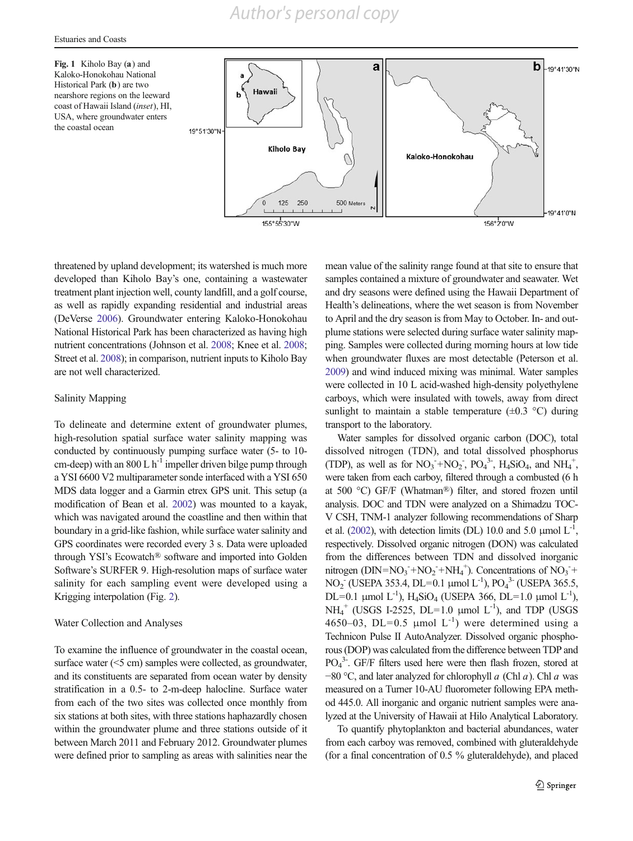<span id="page-4-0"></span>Fig. 1 Kiholo Bay (a) and Kaloko-Honokohau National Historical Park (b) are two nearshore regions on the leeward coast of Hawaii Island (inset), HI, USA, where groundwater enters the coastal ocean



threatened by upland development; its watershed is much more developed than Kiholo Bay's one, containing a wastewater treatment plant injection well, county landfill, and a golf course, as well as rapidly expanding residential and industrial areas (DeVerse [2006\)](#page-13-0). Groundwater entering Kaloko-Honokohau National Historical Park has been characterized as having high nutrient concentrations (Johnson et al. [2008;](#page-13-0) Knee et al. [2008](#page-13-0); Street et al. [2008\)](#page-13-0); in comparison, nutrient inputs to Kiholo Bay are not well characterized.

# Salinity Mapping

To delineate and determine extent of groundwater plumes, high-resolution spatial surface water salinity mapping was conducted by continuously pumping surface water (5- to 10 cm-deep) with an 800 L  $h^{-1}$  impeller driven bilge pump through a YSI 6600 V2 multiparameter sonde interfaced with a YSI 650 MDS data logger and a Garmin etrex GPS unit. This setup (a modification of Bean et al. [2002](#page-12-0)) was mounted to a kayak, which was navigated around the coastline and then within that boundary in a grid-like fashion, while surface water salinity and GPS coordinates were recorded every 3 s. Data were uploaded through YSI's Ecowatch® software and imported into Golden Software's SURFER 9. High-resolution maps of surface water salinity for each sampling event were developed using a Krigging interpolation (Fig. [2\)](#page-5-0).

#### Water Collection and Analyses

To examine the influence of groundwater in the coastal ocean, surface water (<5 cm) samples were collected, as groundwater, and its constituents are separated from ocean water by density stratification in a 0.5- to 2-m-deep halocline. Surface water from each of the two sites was collected once monthly from six stations at both sites, with three stations haphazardly chosen within the groundwater plume and three stations outside of it between March 2011 and February 2012. Groundwater plumes were defined prior to sampling as areas with salinities near the mean value of the salinity range found at that site to ensure that samples contained a mixture of groundwater and seawater. Wet and dry seasons were defined using the Hawaii Department of Health's delineations, where the wet season is from November to April and the dry season is from May to October. In- and outplume stations were selected during surface water salinity mapping. Samples were collected during morning hours at low tide when groundwater fluxes are most detectable (Peterson et al. [2009](#page-13-0)) and wind induced mixing was minimal. Water samples were collected in 10 L acid-washed high-density polyethylene carboys, which were insulated with towels, away from direct sunlight to maintain a stable temperature  $(\pm 0.3 \degree C)$  during transport to the laboratory.

Water samples for dissolved organic carbon (DOC), total dissolved nitrogen (TDN), and total dissolved phosphorus (TDP), as well as for  $NO_3^- + NO_2^-$ ,  $PO_4^3$ <sup>-</sup>,  $H_4SiO_4$ , and  $NH_4^+$ , were taken from each carboy, filtered through a combusted (6 h at 500 °C) GF/F (Whatman®) filter, and stored frozen until analysis. DOC and TDN were analyzed on a Shimadzu TOC-V CSH, TNM-1 analyzer following recommendations of Sharp et al. [\(2002\)](#page-13-0), with detection limits (DL) 10.0 and 5.0  $\mu$ mol L<sup>-1</sup>, respectively. Dissolved organic nitrogen (DON) was calculated from the differences between TDN and dissolved inorganic nitrogen (DIN= $NO_3^- + NO_2^- + NH_4^+$ ). Concentrations of  $NO_3^- +$  $NO<sub>2</sub><sup>-</sup>$  (USEPA 353.4, DL=0.1 μmol L<sup>-1</sup>),  $PO<sub>4</sub><sup>3</sup><sup>-</sup>$  (USEPA 365.5, DL=0.1 μmol L<sup>-1</sup>), H<sub>4</sub>SiO<sub>4</sub> (USEPA 366, DL=1.0 μmol L<sup>-1</sup>),  $NH_4^+$  (USGS I-2525, DL=1.0 µmol L<sup>-1</sup>), and TDP (USGS 4650–03, DL=0.5  $\mu$ mol L<sup>-1</sup>) were determined using a Technicon Pulse II AutoAnalyzer. Dissolved organic phosphorous (DOP) was calculated from the difference between TDP and PO<sub>4</sub><sup>3</sup>. GF/F filters used here were then flash frozen, stored at −80 °C, and later analyzed for chlorophyll a (Chl a). Chl a was measured on a Turner 10-AU fluorometer following EPA method 445.0. All inorganic and organic nutrient samples were analyzed at the University of Hawaii at Hilo Analytical Laboratory.

To quantify phytoplankton and bacterial abundances, water from each carboy was removed, combined with gluteraldehyde (for a final concentration of 0.5 % gluteraldehyde), and placed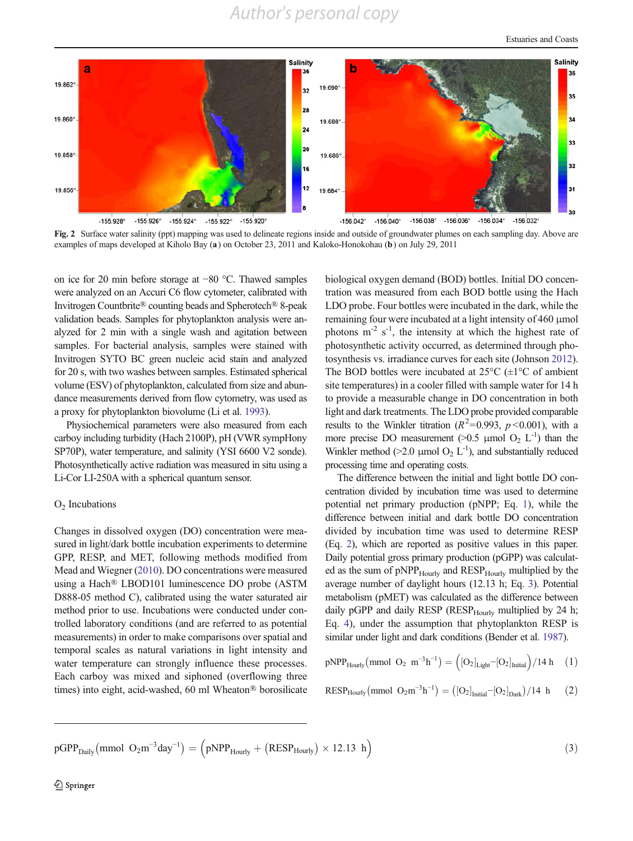Estuaries and Coasts

<span id="page-5-0"></span>

Fig. 2 Surface water salinity (ppt) mapping was used to delineate regions inside and outside of groundwater plumes on each sampling day. Above are examples of maps developed at Kiholo Bay (a) on October 23, 2011 and Kaloko-Honokohau (b) on July 29, 2011

on ice for 20 min before storage at −80 °C. Thawed samples were analyzed on an Accuri C6 flow cytometer, calibrated with Invitrogen Countbrite® counting beads and Spherotech® 8-peak validation beads. Samples for phytoplankton analysis were analyzed for 2 min with a single wash and agitation between samples. For bacterial analysis, samples were stained with Invitrogen SYTO BC green nucleic acid stain and analyzed for 20 s, with two washes between samples. Estimated spherical volume (ESV) of phytoplankton, calculated from size and abundance measurements derived from flow cytometry, was used as a proxy for phytoplankton biovolume (Li et al. [1993](#page-13-0)).

Physiochemical parameters were also measured from each carboy including turbidity (Hach 2100P), pH (VWR sympHony SP70P), water temperature, and salinity (YSI 6600 V2 sonde). Photosynthetically active radiation was measured in situ using a Li-Cor LI-250A with a spherical quantum sensor.

#### $O<sub>2</sub>$  Incubations

Changes in dissolved oxygen (DO) concentration were measured in light/dark bottle incubation experiments to determine GPP, RESP, and MET, following methods modified from Mead and Wiegner ([2010](#page-13-0)). DO concentrations were measured using a Hach® LBOD101 luminescence DO probe (ASTM D888-05 method C), calibrated using the water saturated air method prior to use. Incubations were conducted under controlled laboratory conditions (and are referred to as potential measurements) in order to make comparisons over spatial and temporal scales as natural variations in light intensity and water temperature can strongly influence these processes. Each carboy was mixed and siphoned (overflowing three times) into eight, acid-washed, 60 ml Wheaton® borosilicate biological oxygen demand (BOD) bottles. Initial DO concentration was measured from each BOD bottle using the Hach LDO probe. Four bottles were incubated in the dark, while the remaining four were incubated at a light intensity of 460 μmol photons  $m^{-2}$  s<sup>-1</sup>, the intensity at which the highest rate of photosynthetic activity occurred, as determined through photosynthesis vs. irradiance curves for each site (Johnson [2012\)](#page-13-0). The BOD bottles were incubated at  $25^{\circ}$ C ( $\pm$ 1°C of ambient site temperatures) in a cooler filled with sample water for 14 h to provide a measurable change in DO concentration in both light and dark treatments. The LDO probe provided comparable results to the Winkler titration ( $R^2$ =0.993,  $p$  <0.001), with a more precise DO measurement (>0.5 µmol O<sub>2</sub> L<sup>-1</sup>) than the Winkler method (>2.0 µmol  $O_2$  L<sup>-1</sup>), and substantially reduced processing time and operating costs.

The difference between the initial and light bottle DO concentration divided by incubation time was used to determine potential net primary production (pNPP; Eq. 1), while the difference between initial and dark bottle DO concentration divided by incubation time was used to determine RESP (Eq. 2), which are reported as positive values in this paper. Daily potential gross primary production (pGPP) was calculated as the sum of pNPP<sub>Hourly</sub> and RESP<sub>Hourly</sub> multiplied by the average number of daylight hours (12.13 h; Eq. 3). Potential metabolism (pMET) was calculated as the difference between daily pGPP and daily RESP (RESP $_{\text{Hourly}}$  multiplied by 24 h; Eq. [4\)](#page-6-0), under the assumption that phytoplankton RESP is similar under light and dark conditions (Bender et al. [1987\)](#page-12-0).

$$
pNPP_{Hourly}(mmol O_2 m^{-3}h^{-1}) = ( [O_2]_{Light} - [O_2]_{Initial}) / 14 h \quad (1)
$$

$$
RESP_{Hourly}(mmol\ O_2m^{-3}h^{-1})=\left(\left[O_2\right]_{Initial}-\left[O_2\right]_{Dark}\right)/14\ h\quad \ \ (2)
$$

$$
pGPP_{Daily}(mmol O_2m^{-3}day^{-1}) = (pNPP_{Hourly} + (RESP_{Hourly}) \times 12.13 h)
$$
\n(3)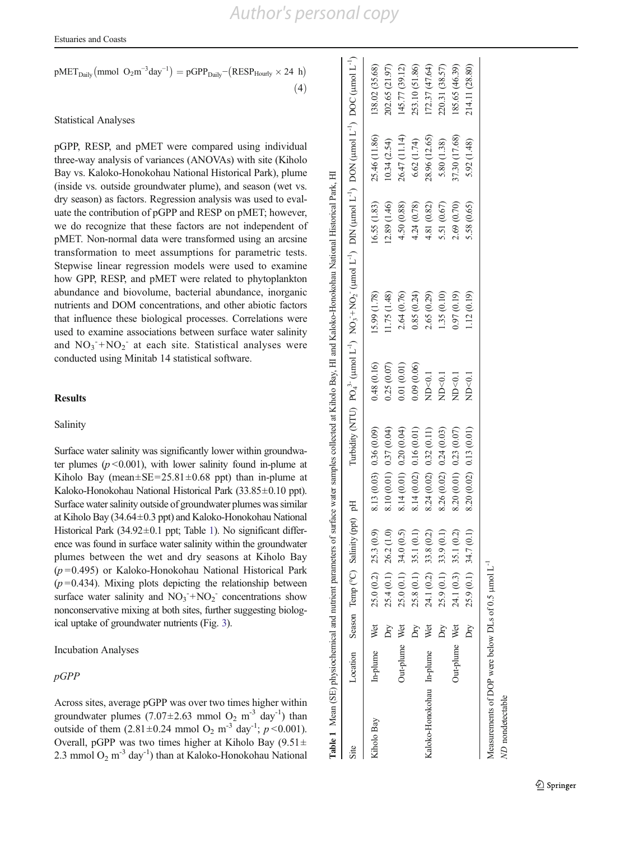<span id="page-6-0"></span>Estuaries and Coasts

$$
pMET_{Daily}(mmol\ O_2m^{-3}day^{-1}) = pGPP_{Daily}-(RESP_{Hourly} \times 24\ h)
$$
\n(4)

# Statistical Analyses

pGPP, RESP, and pMET were compared using individual three-way analysis of variances (ANOVAs) with site (Kiholo Bay vs. Kaloko-Honokohau National Historical Park), plume (inside vs. outside groundwater plume), and season (wet vs. dry season) as factors. Regression analysis was used to evaluate the contribution of pGPP and RESP on pMET; however, we do recognize that these factors are not independent of pMET. Non-normal data were transformed using an arcsine transformation to meet assumptions for parametric tests. Stepwise linear regression models were used to examine how GPP, RESP, and pMET were related to phytoplankton abundance and biovolume, bacterial abundance, inorganic nutrients and DOM concentrations, and other abiotic factors that influence these biological processes. Correlations were used to examine associations between surface water salinity and  $NO_3^- + NO_2^-$  at each site. Statistical analyses were conducted using Minitab 14 statistical software.

## **Results**

## Salinity

Surface water salinity was significantly lower within groundwater plumes ( $p$  < 0.001), with lower salinity found in-plume at Kiholo Bay (mean $\pm$ SE=25.81 $\pm$ 0.68 ppt) than in-plume at Kaloko-Honokohau National Historical Park (33.85±0.10 ppt). Surface water salinity outside of groundwater plumes was similar at Kiholo Bay (34.64±0.3 ppt) and Kaloko-Honokohau National Historical Park (34.92±0.1 ppt; Table 1). No significant difference was found in surface water salinity within the groundwater plumes between the wet and dry seasons at Kiholo Bay  $(p=0.495)$  or Kaloko-Honokohau National Historical Park  $(p=0.434)$ . Mixing plots depicting the relationship between surface water salinity and  $NO_3^- + NO_2^-$  concentrations show nonconservative mixing at both sites, further suggesting biological uptake of groundwater nutrients (Fig. [3](#page-7-0)).

Incubation Analyses

# pGPP

Across sites, average pGPP was over two times higher within groundwater plumes  $(7.07 \pm 2.63 \text{ mmol O}_2 \text{ m}^{-3} \text{ day}^{-1})$  than outside of them  $(2.81 \pm 0.24 \text{ mmol O}_2 \text{ m}^{-3} \text{ day}^{-1}; p < 0.001)$ . Overall, pGPP was two times higher at Kiholo Bay  $(9.51 \pm$ 2.3 mmol  $O_2$  m<sup>-3</sup> day<sup>-1</sup>) than at Kaloko-Honokohau National

|                                                                |               |     |                         |                                             |                          |            | Table 1 Mean (SE) physiochemical and nutrient parameters of surface water samples collected at Kiholo Bay, HI and Kaloko-Honokohau National Historical Park, HI                                       |              |               |                |
|----------------------------------------------------------------|---------------|-----|-------------------------|---------------------------------------------|--------------------------|------------|-------------------------------------------------------------------------------------------------------------------------------------------------------------------------------------------------------|--------------|---------------|----------------|
| Site                                                           |               |     |                         | Location Season Temp (°C) Salinity (ppt) pH |                          |            | Turbidity (NTU) $PQ_4^2$ ( $\mu$ mol L <sup>1</sup> ) NO <sub>3</sub> ( $\mu$ mol L <sup>1</sup> ) DIN ( $\mu$ mol L <sup>1</sup> ) DON ( $\mu$ mol L <sup>1</sup> ) DOC ( $\mu$ mol L <sup>1</sup> ) |              |               |                |
| Kiholo Bay                                                     | In-plume Wet  |     | $25.0(0.2)$ $25.3(0.9)$ |                                             | 8.13(0.03) 0.36(0.09)    | 0.48(0.16) | 15.99 (1.78)                                                                                                                                                                                          | 16.55 (1.83) | 25.46 (11.86) | 138.02 (35.68) |
|                                                                |               | Dry |                         | $25.4(0.1)$ $26.2(1.0)$                     | 8.10 (0.01) 0.37 (0.04)  | 0.25(0.07) | 1.75(1.48)                                                                                                                                                                                            | 12.89 (1.46) | (0.34(2.54)   | 202.65 (21.97) |
|                                                                | Out-plume Wet |     |                         | $25.0(0.1)$ 34.0 $(0.5)$                    | 8.14 (0.01) 0.20 (0.04)  | 0.01(0.01) | 2.64 (0.76)                                                                                                                                                                                           | 4.50 (0.88)  | 26.47 (11.14) | (45.77 (39.12) |
|                                                                |               | Dry |                         | $25.8(0.1)$ 35.1 $(0.1)$                    | $8.14(0.02)$ 0.16 (0.01) | 0.09(0.06) | 0.85(0.24)                                                                                                                                                                                            | 4.24 (0.78)  | 6.62(1.74)    | 253.10 (51.86) |
| Kaloko-Honokohau In-plume                                      |               | Wet |                         | 24.1 (0.2) 33.8 (0.2)                       | 8.24(0.02) 0.32(0.11)    | ND<0.1     | 2.65 (0.29)                                                                                                                                                                                           | 4.81 (0.82)  | 28.96 (12.65) | (72.37(47.64)) |
|                                                                |               | Δr  |                         | $25.9(0.1)$ 33.9 $(0.1)$                    | 8.26 (0.02) 0.24 (0.03)  | ND < 0.1   | 1.35 (0.10)                                                                                                                                                                                           | 5.51 (0.67)  | 5.80(1.38)    | 220.31 (38.57) |
|                                                                | Out-plume Wet |     |                         | $24.1(0.3)$ 35.1 $(0.2)$                    | 8.20 (0.01) 0.23 (0.07)  | ND<0.1     | 0.97(0.19)                                                                                                                                                                                            | 2.69 (0.70)  | 37.30 (17.68) | 185.65 (46.39) |
|                                                                |               | Dry |                         | $25.9(0.1)$ 34.7 $(0.1)$                    | 8.20 (0.02) 0.13 (0.01)  | ND<0.1     | 1.12(0.19)                                                                                                                                                                                            | 5.58 (0.65)  | 5.92 (1.48)   | 214.11 (28.80) |
| Measurements of DOP were below DLs of 0.5 µmol L <sup>-1</sup> |               |     |                         |                                             |                          |            |                                                                                                                                                                                                       |              |               |                |
| ND nondetectable                                               |               |     |                         |                                             |                          |            |                                                                                                                                                                                                       |              |               |                |

2 Springer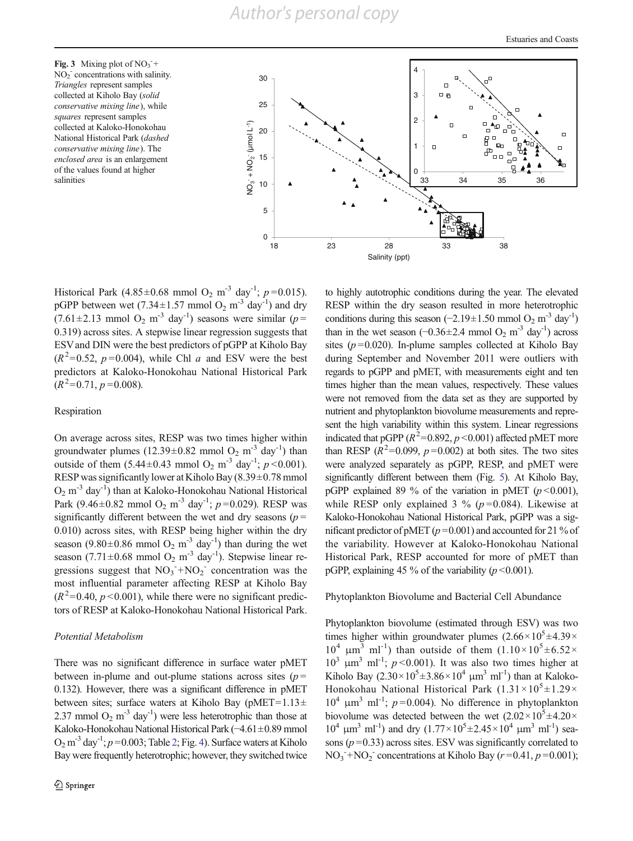<span id="page-7-0"></span>Fig. 3 Mixing plot of  $NO_3^-$ +  $NO<sub>2</sub>$  concentrations with salinity. Triangles represent samples collected at Kiholo Bay (solid conservative mixing line), while squares represent samples collected at Kaloko-Honokohau National Historical Park (dashed conservative mixing line). The enclosed area is an enlargement of the values found at higher salinities



Historical Park (4.85±0.68 mmol O<sub>2</sub> m<sup>-3</sup> day<sup>-1</sup>; p=0.015). pGPP between wet (7.34 $\pm$ 1.57 mmol O<sub>2</sub> m<sup>-3</sup> day<sup>-1</sup>) and dry  $(7.61 \pm 2.13 \text{ mmol O}_2 \text{ m}^{-3} \text{ day}^{-1})$  seasons were similar ( $p =$ 0.319) across sites. A stepwise linear regression suggests that ESV and DIN were the best predictors of pGPP at Kiholo Bay  $(R^2=0.52, p=0.004)$ , while Chl a and ESV were the best predictors at Kaloko-Honokohau National Historical Park  $(R^2=0.71, p=0.008).$ 

#### Respiration

On average across sites, RESP was two times higher within groundwater plumes  $(12.39 \pm 0.82 \text{ mmol O}_2 \text{ m}^{-3} \text{ day}^{-1})$  than outside of them  $(5.44 \pm 0.43 \text{ mmol O}_2 \text{ m}^{-3} \text{ day}^{-1}; p \le 0.001)$ . RESP was significantly lower at Kiholo Bay (8.39±0.78 mmol  $O_2$  m<sup>-3</sup> day<sup>-1</sup>) than at Kaloko-Honokohau National Historical Park (9.46±0.82 mmol O<sub>2</sub> m<sup>-3</sup> day<sup>-1</sup>; p=0.029). RESP was significantly different between the wet and dry seasons ( $p =$ 0.010) across sites, with RESP being higher within the dry season (9.80 $\pm$ 0.86 mmol O<sub>2</sub> m<sup>-3</sup> day<sup>-1</sup>) than during the wet season (7.71 $\pm$ 0.68 mmol O<sub>2</sub> m<sup>-3</sup> day<sup>-1</sup>). Stepwise linear regressions suggest that  $NO_3^- + NO_2^-$  concentration was the most influential parameter affecting RESP at Kiholo Bay  $(R^2=0.40, p<0.001)$ , while there were no significant predictors of RESP at Kaloko-Honokohau National Historical Park.

#### Potential Metabolism

There was no significant difference in surface water pMET between in-plume and out-plume stations across sites  $(p =$ 0.132). However, there was a significant difference in pMET between sites; surface waters at Kiholo Bay (pMET=1.13 $\pm$ ) 2.37 mmol  $O_2$  m<sup>-3</sup> day<sup>-1</sup>) were less heterotrophic than those at Kaloko-Honokohau National Historical Park (−4.61±0.89 mmol  $O_2$  $O_2$  m<sup>-3</sup> day<sup>-1</sup>;  $p = 0.003$ ; Table 2; Fig. [4\)](#page-8-0). Surface waters at Kiholo Bay were frequently heterotrophic; however, they switched twice to highly autotrophic conditions during the year. The elevated RESP within the dry season resulted in more heterotrophic conditions during this season (−2.19±1.50 mmol O<sub>2</sub> m<sup>-3</sup> day<sup>-1</sup>) than in the wet season (−0.36±2.4 mmol O<sub>2</sub> m<sup>-3</sup> day<sup>-1</sup>) across sites ( $p = 0.020$ ). In-plume samples collected at Kiholo Bay during September and November 2011 were outliers with regards to pGPP and pMET, with measurements eight and ten times higher than the mean values, respectively. These values were not removed from the data set as they are supported by nutrient and phytoplankton biovolume measurements and represent the high variability within this system. Linear regressions indicated that pGPP ( $R^2$ =0.892,  $p$  <0.001) affected pMET more than RESP ( $R^2$ =0.099,  $p$ =0.002) at both sites. The two sites were analyzed separately as pGPP, RESP, and pMET were significantly different between them (Fig. [5\)](#page-9-0). At Kiholo Bay, pGPP explained 89 % of the variation in pMET ( $p < 0.001$ ), while RESP only explained 3 % ( $p = 0.084$ ). Likewise at Kaloko-Honokohau National Historical Park, pGPP was a significant predictor of pMET ( $p = 0.001$ ) and accounted for 21 % of the variability. However at Kaloko-Honokohau National Historical Park, RESP accounted for more of pMET than pGPP, explaining 45 % of the variability ( $p < 0.001$ ).

#### Phytoplankton Biovolume and Bacterial Cell Abundance

Phytoplankton biovolume (estimated through ESV) was two times higher within groundwater plumes  $(2.66 \times 10^5 \pm 4.39 \times$  $10^4$   $\mu$ m<sup>3</sup> ml<sup>-1</sup>) than outside of them  $(1.10 \times 10^5 \pm 6.52 \times$  $10^3$   $\mu$ m<sup>3</sup> ml<sup>-1</sup>; *p* <0.001). It was also two times higher at Kiholo Bay  $(2.30 \times 10^5 \pm 3.86 \times 10^4 \text{ }\mu\text{m}^3 \text{ }\text{ml}^{-1})$  than at Kaloko-Honokohau National Historical Park  $(1.31 \times 10^5 \pm 1.29 \times$  $10^4$   $\mu$ m<sup>3</sup> ml<sup>-1</sup>; *p*=0.004). No difference in phytoplankton biovolume was detected between the wet  $(2.02 \times 10^5 \pm 4.20 \times$  $10^4$  μm<sup>3</sup> ml<sup>-1</sup>) and dry  $(1.77 \times 10^5 \pm 2.45 \times 10^4$  μm<sup>3</sup> ml<sup>-1</sup>) seasons  $(p=0.33)$  across sites. ESV was significantly correlated to  $NO<sub>3</sub><sup>-</sup>+NO<sub>2</sub><sup>-</sup> concentrations at Kiholo Bay (*r*=0.41, *p*=0.001);$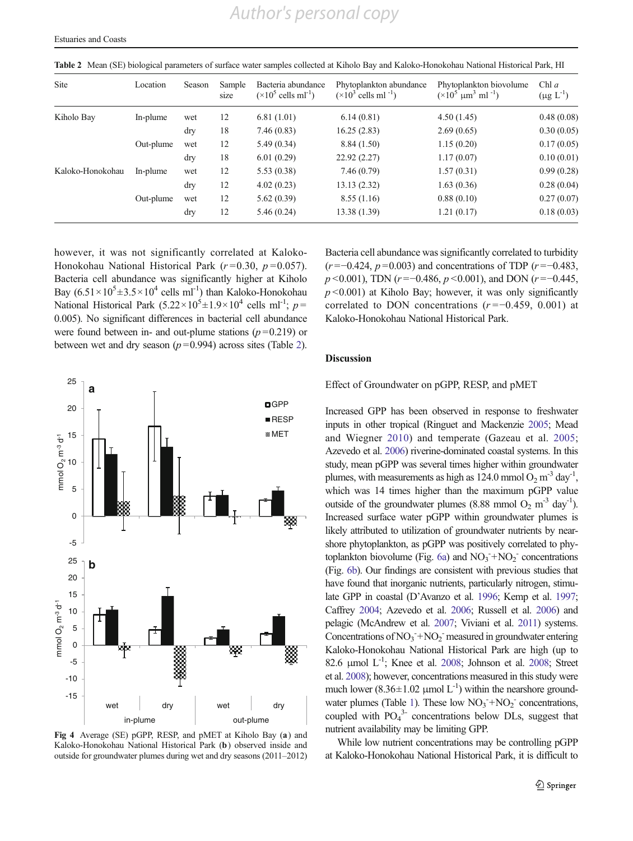*Author's personal copy*

| <b>Site</b>      | Location  | Season | Sample<br>size | Bacteria abundance<br>$(\times 10^5 \text{ cells ml}^{-1})$ | Phytoplankton abundance<br>$(\times 10^3$ cells ml <sup>-1</sup> ) | Phytoplankton biovolume<br>$(\times 10^5 \text{ }\mu\text{m}^3 \text{ }\text{ml}^{-1})$ | Chl $a$<br>$(\mu g L^{-1})$ |
|------------------|-----------|--------|----------------|-------------------------------------------------------------|--------------------------------------------------------------------|-----------------------------------------------------------------------------------------|-----------------------------|
| Kiholo Bay       | In-plume  | wet    | 12             | 6.81(1.01)                                                  | 6.14(0.81)                                                         | 4.50(1.45)                                                                              | 0.48(0.08)                  |
|                  |           | dry    | 18             | 7.46(0.83)                                                  | 16.25(2.83)                                                        | 2.69(0.65)                                                                              | 0.30(0.05)                  |
|                  | Out-plume | wet    | 12             | 5.49(0.34)                                                  | 8.84(1.50)                                                         | 1.15(0.20)                                                                              | 0.17(0.05)                  |
|                  |           | dry    | 18             | 6.01(0.29)                                                  | 22.92 (2.27)                                                       | 1.17(0.07)                                                                              | 0.10(0.01)                  |
| Kaloko-Honokohau | In-plume  | wet    | 12             | 5.53(0.38)                                                  | 7.46(0.79)                                                         | 1.57(0.31)                                                                              | 0.99(0.28)                  |
|                  |           | dry    | 12             | 4.02(0.23)                                                  | 13.13 (2.32)                                                       | 1.63(0.36)                                                                              | 0.28(0.04)                  |
|                  | Out-plume | wet    | 12             | 5.62(0.39)                                                  | 8.55(1.16)                                                         | 0.88(0.10)                                                                              | 0.27(0.07)                  |
|                  |           | dry    | 12             | 5.46(0.24)                                                  | 13.38 (1.39)                                                       | 1.21(0.17)                                                                              | 0.18(0.03)                  |

<span id="page-8-0"></span>Table 2 Mean (SE) biological parameters of surface water samples collected at Kiholo Bay and Kaloko-Honokohau National Historical Park, HI

however, it was not significantly correlated at Kaloko-Honokohau National Historical Park ( $r = 0.30$ ,  $p = 0.057$ ). Bacteria cell abundance was significantly higher at Kiholo Bay  $(6.51 \times 10^5 \pm 3.5 \times 10^4 \text{ cells ml}^{-1})$  than Kaloko-Honokohau National Historical Park  $(5.22 \times 10^5 \pm 1.9 \times 10^4$  cells ml<sup>-1</sup>;  $p =$ 0.005). No significant differences in bacterial cell abundance were found between in- and out-plume stations  $(p=0.219)$  or between wet and dry season  $(p=0.994)$  across sites (Table 2).



Fig 4 Average (SE) pGPP, RESP, and pMET at Kiholo Bay (a) and Kaloko-Honokohau National Historical Park (b) observed inside and outside for groundwater plumes during wet and dry seasons (2011–2012)

Bacteria cell abundance was significantly correlated to turbidity  $(r = -0.424, p = 0.003)$  and concentrations of TDP  $(r = -0.483,$  $p \le 0.001$ ), TDN (r = -0.486,  $p \le 0.001$ ), and DON (r = -0.445,  $p$  <0.001) at Kiholo Bay; however, it was only significantly correlated to DON concentrations  $(r = -0.459, 0.001)$  at Kaloko-Honokohau National Historical Park.

#### Discussion

Effect of Groundwater on pGPP, RESP, and pMET

Increased GPP has been observed in response to freshwater inputs in other tropical (Ringuet and Mackenzie [2005](#page-13-0); Mead and Wiegner [2010\)](#page-13-0) and temperate (Gazeau et al. [2005;](#page-13-0) Azevedo et al. [2006\)](#page-12-0) riverine-dominated coastal systems. In this study, mean pGPP was several times higher within groundwater plumes, with measurements as high as 124.0 mmol  $O_2$  m<sup>-3</sup> day<sup>-1</sup>, which was 14 times higher than the maximum pGPP value outside of the groundwater plumes (8.88 mmol  $O_2$  m<sup>-3</sup> day<sup>-1</sup>). Increased surface water pGPP within groundwater plumes is likely attributed to utilization of groundwater nutrients by nearshore phytoplankton, as pGPP was positively correlated to phy-toplankton biovolume (Fig. [6a](#page-10-0)) and  $NO<sub>3</sub><sup>-</sup>+NO<sub>2</sub><sup>-</sup>$  concentrations (Fig. [6b\)](#page-10-0). Our findings are consistent with previous studies that have found that inorganic nutrients, particularly nitrogen, stimulate GPP in coastal (D'Avanzo et al. [1996](#page-12-0); Kemp et al. [1997;](#page-13-0) Caffrey [2004;](#page-12-0) Azevedo et al. [2006](#page-12-0); Russell et al. [2006](#page-13-0)) and pelagic (McAndrew et al. [2007](#page-13-0); Viviani et al. [2011\)](#page-13-0) systems. Concentrations of  $NO_3 + NO_2$  measured in groundwater entering Kaloko-Honokohau National Historical Park are high (up to 82.6 μmol  $L^{-1}$ ; Knee et al. [2008;](#page-13-0) Johnson et al. 2008; Street et al. [2008](#page-13-0)); however, concentrations measured in this study were much lower (8.36 $\pm$ 1.02 µmol L<sup>-1</sup>) within the nearshore ground-water plumes (Table [1](#page-6-0)). These low  $NO_3^- + NO_2^-$  concentrations, coupled with  $PO_4^3$ - concentrations below DLs, suggest that nutrient availability may be limiting GPP.

While low nutrient concentrations may be controlling pGPP at Kaloko-Honokohau National Historical Park, it is difficult to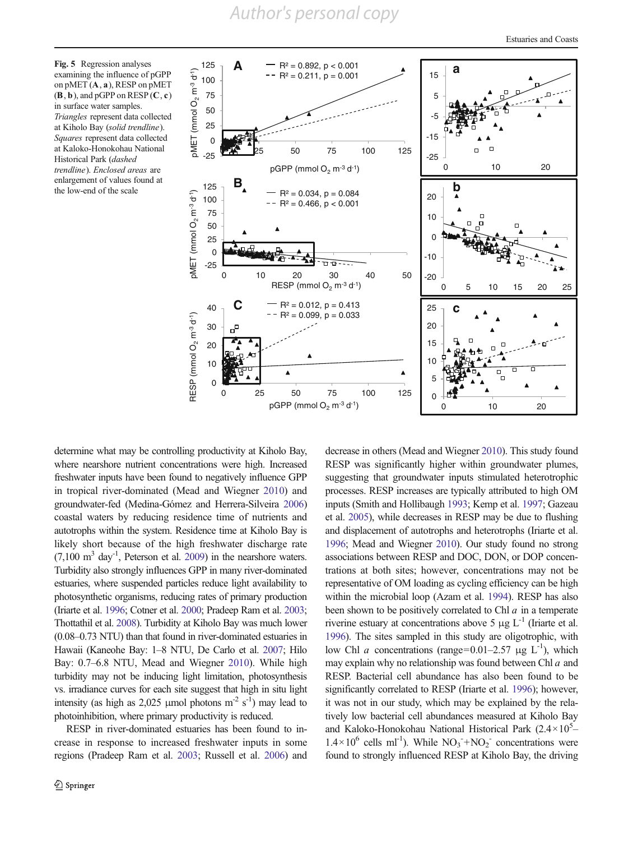# *Author's personal copy*

<span id="page-9-0"></span>Fig. 5 Regression analyses<br>
examining the influence of pGPP<br>
on pMET (A, a), RESP on pMET<br>
(B, b), and pGPP on RESP (C, c)<br>
in surface water samples.<br>
Triangles represent data collected<br>
at Kiholo Bay (*solid trendline*). examining the influence of pGPP on pMET (A, a), RESP on pMET  $(\mathbf{B}, \mathbf{b})$ , and pGPP on RESP  $(\mathbf{C}, \mathbf{c})$ in surface water samples. Triangles represent data collected at Kiholo Bay (solid trendline). Squares represent data collected at Kaloko-Honokohau National Historical Park (dashed trendline). Enclosed areas are enlargement of values found at the low-end of the scale



determine what may be controlling productivity at Kiholo Bay, where nearshore nutrient concentrations were high. Increased freshwater inputs have been found to negatively influence GPP in tropical river-dominated (Mead and Wiegner [2010\)](#page-13-0) and groundwater-fed (Medina-Gómez and Herrera-Silveira [2006\)](#page-13-0) coastal waters by reducing residence time of nutrients and autotrophs within the system. Residence time at Kiholo Bay is likely short because of the high freshwater discharge rate  $(7,100 \text{ m}^3 \text{ day}^{-1}$ , Peterson et al. [2009\)](#page-13-0) in the nearshore waters. Turbidity also strongly influences GPP in many river-dominated estuaries, where suspended particles reduce light availability to photosynthetic organisms, reducing rates of primary production (Iriarte et al. [1996](#page-13-0); Cotner et al. [2000](#page-12-0); Pradeep Ram et al. [2003](#page-13-0); Thottathil et al. [2008](#page-13-0)). Turbidity at Kiholo Bay was much lower (0.08–0.73 NTU) than that found in river-dominated estuaries in Hawaii (Kaneohe Bay: 1–8 NTU, De Carlo et al. [2007](#page-12-0); Hilo Bay: 0.7–6.8 NTU, Mead and Wiegner [2010](#page-13-0)). While high turbidity may not be inducing light limitation, photosynthesis vs. irradiance curves for each site suggest that high in situ light intensity (as high as 2,025 µmol photons  $m^2 s^{-1}$ ) may lead to photoinhibition, where primary productivity is reduced.

RESP in river-dominated estuaries has been found to increase in response to increased freshwater inputs in some regions (Pradeep Ram et al. [2003](#page-13-0); Russell et al. [2006\)](#page-13-0) and decrease in others (Mead and Wiegner [2010](#page-13-0)). This study found RESP was significantly higher within groundwater plumes, suggesting that groundwater inputs stimulated heterotrophic processes. RESP increases are typically attributed to high OM inputs (Smith and Hollibaugh [1993](#page-13-0); Kemp et al. [1997;](#page-13-0) Gazeau et al. [2005](#page-13-0)), while decreases in RESP may be due to flushing and displacement of autotrophs and heterotrophs (Iriarte et al. [1996](#page-13-0); Mead and Wiegner [2010\)](#page-13-0). Our study found no strong associations between RESP and DOC, DON, or DOP concentrations at both sites; however, concentrations may not be representative of OM loading as cycling efficiency can be high within the microbial loop (Azam et al. [1994](#page-12-0)). RESP has also been shown to be positively correlated to Chl  $a$  in a temperate riverine estuary at concentrations above 5  $\mu$ g L<sup>-1</sup> (Iriarte et al. [1996](#page-13-0)). The sites sampled in this study are oligotrophic, with low Chl *a* concentrations (range=0.01–2.57 μg L<sup>-1</sup>), which may explain why no relationship was found between Chl  $a$  and RESP. Bacterial cell abundance has also been found to be significantly correlated to RESP (Iriarte et al. [1996\)](#page-13-0); however, it was not in our study, which may be explained by the relatively low bacterial cell abundances measured at Kiholo Bay and Kaloko-Honokohau National Historical Park  $(2.4 \times 10^5 1.4 \times 10^6$  cells ml<sup>-1</sup>). While NO<sub>3</sub><sup>-+</sup>NO<sub>2</sub><sup>-</sup> concentrations were found to strongly influenced RESP at Kiholo Bay, the driving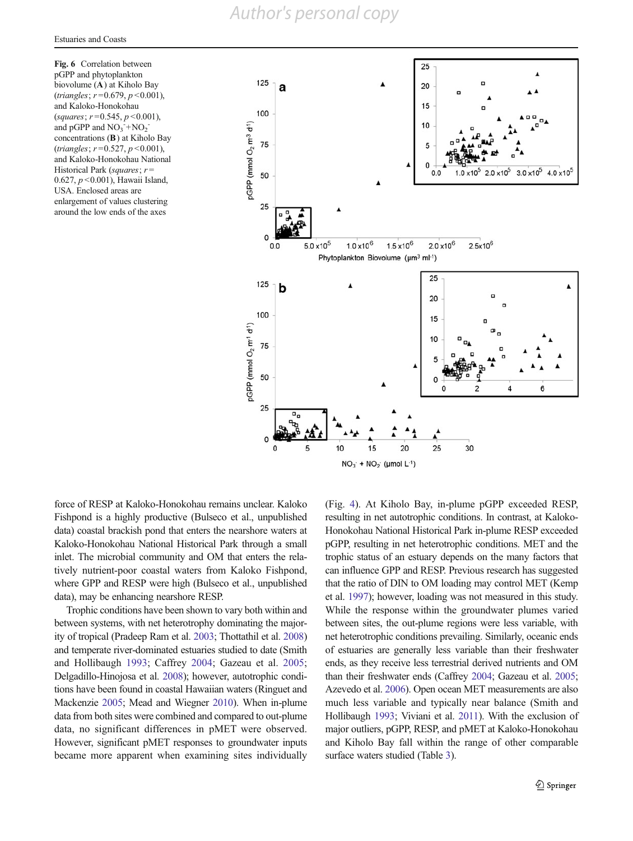<span id="page-10-0"></span>Fig. 6 Correlation between pGPP and phytoplankton biovolume (A) at Kiholo Bay  $(triangles; r=0.679, p<0.001)$ , and Kaloko-Honokohau (squares;  $r = 0.545$ ,  $p < 0.001$ ), and  $pGPP$  and  $NO_3 + NO_2$ concentrations (B) at Kiholo Bay  $(triangles; r=0.527, p<0.001)$ , and Kaloko-Honokohau National Historical Park (squares;  $r =$ 0.627, p <0.001), Hawaii Island, USA. Enclosed areas are enlargement of values clustering around the low ends of the axes



force of RESP at Kaloko-Honokohau remains unclear. Kaloko Fishpond is a highly productive (Bulseco et al., unpublished data) coastal brackish pond that enters the nearshore waters at Kaloko-Honokohau National Historical Park through a small inlet. The microbial community and OM that enters the relatively nutrient-poor coastal waters from Kaloko Fishpond, where GPP and RESP were high (Bulseco et al., unpublished data), may be enhancing nearshore RESP.

Trophic conditions have been shown to vary both within and between systems, with net heterotrophy dominating the majority of tropical (Pradeep Ram et al. [2003](#page-13-0); Thottathil et al. [2008\)](#page-13-0) and temperate river-dominated estuaries studied to date (Smith and Hollibaugh [1993;](#page-13-0) Caffrey [2004](#page-12-0); Gazeau et al. [2005](#page-13-0); Delgadillo-Hinojosa et al. [2008](#page-12-0)); however, autotrophic conditions have been found in coastal Hawaiian waters (Ringuet and Mackenzie [2005](#page-13-0); Mead and Wiegner [2010](#page-13-0)). When in-plume data from both sites were combined and compared to out-plume data, no significant differences in pMET were observed. However, significant pMET responses to groundwater inputs became more apparent when examining sites individually (Fig. [4](#page-8-0)). At Kiholo Bay, in-plume pGPP exceeded RESP, resulting in net autotrophic conditions. In contrast, at Kaloko-Honokohau National Historical Park in-plume RESP exceeded pGPP, resulting in net heterotrophic conditions. MET and the trophic status of an estuary depends on the many factors that can influence GPP and RESP. Previous research has suggested that the ratio of DIN to OM loading may control MET (Kemp et al. [1997\)](#page-13-0); however, loading was not measured in this study. While the response within the groundwater plumes varied between sites, the out-plume regions were less variable, with net heterotrophic conditions prevailing. Similarly, oceanic ends of estuaries are generally less variable than their freshwater ends, as they receive less terrestrial derived nutrients and OM than their freshwater ends (Caffrey [2004](#page-12-0); Gazeau et al. [2005;](#page-13-0) Azevedo et al. [2006\)](#page-12-0). Open ocean MET measurements are also much less variable and typically near balance (Smith and Hollibaugh [1993](#page-13-0); Viviani et al. [2011](#page-13-0)). With the exclusion of major outliers, pGPP, RESP, and pMET at Kaloko-Honokohau and Kiholo Bay fall within the range of other comparable surface waters studied (Table [3](#page-11-0)).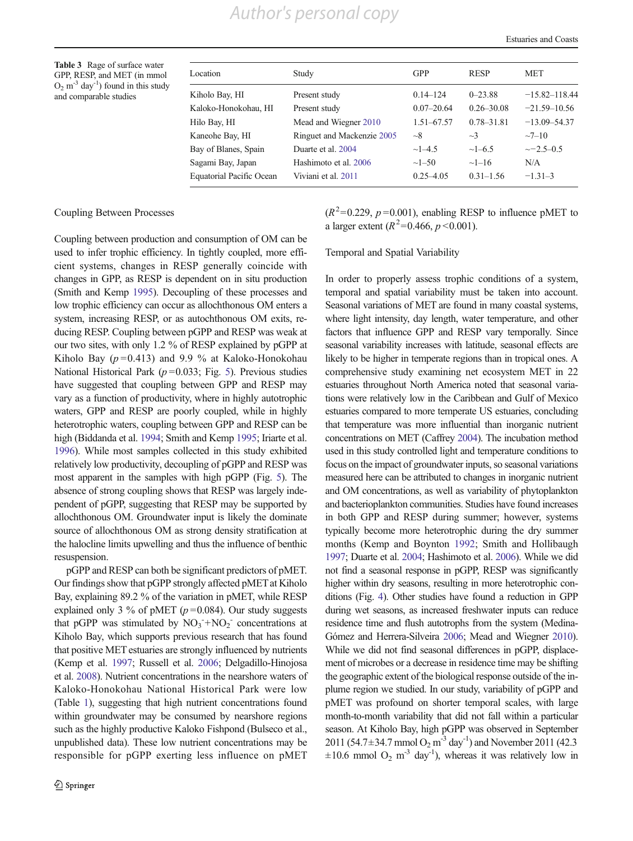<span id="page-11-0"></span>Table 3 Rage of surface water GPP, RESP, and MET (in mmol  $O_2$  m<sup>-3</sup> day<sup>-1</sup>) found in this study and comparable studies

| Location                        | Study                      | <b>GPP</b>     | <b>RESP</b>    | <b>MET</b>        |
|---------------------------------|----------------------------|----------------|----------------|-------------------|
| Kiholo Bay, HI                  | Present study              | $0.14 - 124$   | $0 - 23.88$    | $-15.82 - 118.44$ |
| Kaloko-Honokohau, HI            | Present study              | $0.07 - 20.64$ | $0.26 - 30.08$ | $-21.59 - 10.56$  |
| Hilo Bay, HI                    | Mead and Wiegner 2010      | $1.51 - 67.57$ | $0.78 - 31.81$ | $-13.09 - 54.37$  |
| Kaneohe Bay, HI                 | Ringuet and Mackenzie 2005 | $\sim$ 8       | $\sim$ 3       | $-7-10$           |
| Bay of Blanes, Spain            | Duarte et al. 2004         | $\sim$ 1–4.5   | $\sim$ 1–6.5   | $\sim$ -2.5-0.5   |
| Sagami Bay, Japan               | Hashimoto et al. 2006      | $\sim1-50$     | $\sim$ 1–16    | N/A               |
| <b>Equatorial Pacific Ocean</b> | Viviani et al. 2011        | $0.25 - 4.05$  | $0.31 - 1.56$  | $-1.31-3$         |

#### Coupling Between Processes

Coupling between production and consumption of OM can be used to infer trophic efficiency. In tightly coupled, more efficient systems, changes in RESP generally coincide with changes in GPP, as RESP is dependent on in situ production (Smith and Kemp [1995](#page-13-0)). Decoupling of these processes and low trophic efficiency can occur as allochthonous OM enters a system, increasing RESP, or as autochthonous OM exits, reducing RESP. Coupling between pGPP and RESP was weak at our two sites, with only 1.2 % of RESP explained by pGPP at Kiholo Bay  $(p=0.413)$  and 9.9 % at Kaloko-Honokohau National Historical Park ( $p = 0.033$ ; Fig. [5\)](#page-9-0). Previous studies have suggested that coupling between GPP and RESP may vary as a function of productivity, where in highly autotrophic waters, GPP and RESP are poorly coupled, while in highly heterotrophic waters, coupling between GPP and RESP can be high (Biddanda et al. [1994](#page-12-0); Smith and Kemp [1995;](#page-13-0) Iriarte et al. [1996](#page-13-0)). While most samples collected in this study exhibited relatively low productivity, decoupling of pGPP and RESP was most apparent in the samples with high pGPP (Fig. [5\)](#page-9-0). The absence of strong coupling shows that RESP was largely independent of pGPP, suggesting that RESP may be supported by allochthonous OM. Groundwater input is likely the dominate source of allochthonous OM as strong density stratification at the halocline limits upwelling and thus the influence of benthic resuspension.

pGPP and RESP can both be significant predictors of pMET. Our findings show that pGPP strongly affected pMET at Kiholo Bay, explaining 89.2 % of the variation in pMET, while RESP explained only 3 % of pMET ( $p = 0.084$ ). Our study suggests that pGPP was stimulated by  $NO_3^- + NO_2^-$  concentrations at Kiholo Bay, which supports previous research that has found that positive MET estuaries are strongly influenced by nutrients (Kemp et al. [1997](#page-13-0); Russell et al. [2006;](#page-13-0) Delgadillo-Hinojosa et al. [2008](#page-12-0)). Nutrient concentrations in the nearshore waters of Kaloko-Honokohau National Historical Park were low (Table [1](#page-6-0)), suggesting that high nutrient concentrations found within groundwater may be consumed by nearshore regions such as the highly productive Kaloko Fishpond (Bulseco et al., unpublished data). These low nutrient concentrations may be responsible for pGPP exerting less influence on pMET  $(R^2=0.229, p=0.001)$ , enabling RESP to influence pMET to a larger extent ( $R^2$ =0.466,  $p$  <0.001).

## Temporal and Spatial Variability

In order to properly assess trophic conditions of a system, temporal and spatial variability must be taken into account. Seasonal variations of MET are found in many coastal systems, where light intensity, day length, water temperature, and other factors that influence GPP and RESP vary temporally. Since seasonal variability increases with latitude, seasonal effects are likely to be higher in temperate regions than in tropical ones. A comprehensive study examining net ecosystem MET in 22 estuaries throughout North America noted that seasonal variations were relatively low in the Caribbean and Gulf of Mexico estuaries compared to more temperate US estuaries, concluding that temperature was more influential than inorganic nutrient concentrations on MET (Caffrey [2004](#page-12-0)). The incubation method used in this study controlled light and temperature conditions to focus on the impact of groundwater inputs, so seasonal variations measured here can be attributed to changes in inorganic nutrient and OM concentrations, as well as variability of phytoplankton and bacterioplankton communities. Studies have found increases in both GPP and RESP during summer; however, systems typically become more heterotrophic during the dry summer months (Kemp and Boynton [1992](#page-13-0); Smith and Hollibaugh [1997;](#page-13-0) Duarte et al. [2004](#page-13-0); Hashimoto et al. [2006](#page-13-0)). While we did not find a seasonal response in pGPP, RESP was significantly higher within dry seasons, resulting in more heterotrophic conditions (Fig. [4\)](#page-8-0). Other studies have found a reduction in GPP during wet seasons, as increased freshwater inputs can reduce residence time and flush autotrophs from the system (Medina-Gómez and Herrera-Silveira [2006;](#page-13-0) Mead and Wiegner [2010\)](#page-13-0). While we did not find seasonal differences in pGPP, displacement of microbes or a decrease in residence time may be shifting the geographic extent of the biological response outside of the inplume region we studied. In our study, variability of pGPP and pMET was profound on shorter temporal scales, with large month-to-month variability that did not fall within a particular season. At Kiholo Bay, high pGPP was observed in September 2011 (54.7±34.7 mmol  $O_2$  m<sup>-3</sup> day<sup>-1</sup>) and November 2011 (42.3  $\pm 10.6$  mmol O<sub>2</sub> m<sup>-3</sup> day<sup>-1</sup>), whereas it was relatively low in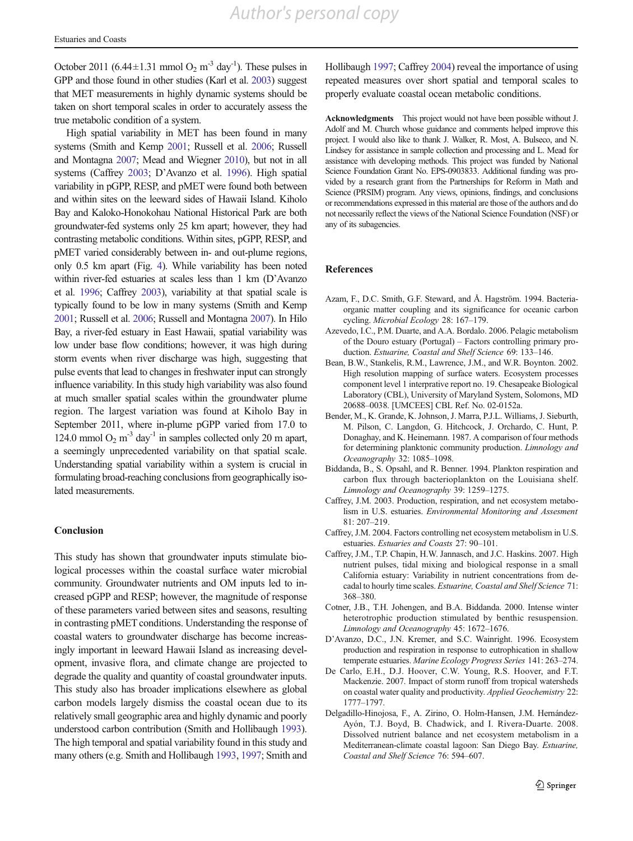<span id="page-12-0"></span>October 2011 (6.44 $\pm$ 1.31 mmol O<sub>2</sub> m<sup>-3</sup> day<sup>-1</sup>). These pulses in GPP and those found in other studies (Karl et al. [2003](#page-13-0)) suggest that MET measurements in highly dynamic systems should be taken on short temporal scales in order to accurately assess the true metabolic condition of a system.

High spatial variability in MET has been found in many systems (Smith and Kemp [2001](#page-13-0); Russell et al. [2006](#page-13-0); Russell and Montagna [2007](#page-13-0); Mead and Wiegner [2010\)](#page-13-0), but not in all systems (Caffrey 2003; D'Avanzo et al. 1996). High spatial variability in pGPP, RESP, and pMET were found both between and within sites on the leeward sides of Hawaii Island. Kiholo Bay and Kaloko-Honokohau National Historical Park are both groundwater-fed systems only 25 km apart; however, they had contrasting metabolic conditions. Within sites, pGPP, RESP, and pMET varied considerably between in- and out-plume regions, only 0.5 km apart (Fig. [4\)](#page-8-0). While variability has been noted within river-fed estuaries at scales less than 1 km (D'Avanzo et al. 1996; Caffrey 2003), variability at that spatial scale is typically found to be low in many systems (Smith and Kemp [2001;](#page-13-0) Russell et al. [2006;](#page-13-0) Russell and Montagna [2007](#page-13-0)). In Hilo Bay, a river-fed estuary in East Hawaii, spatial variability was low under base flow conditions; however, it was high during storm events when river discharge was high, suggesting that pulse events that lead to changes in freshwater input can strongly influence variability. In this study high variability was also found at much smaller spatial scales within the groundwater plume region. The largest variation was found at Kiholo Bay in September 2011, where in-plume pGPP varied from 17.0 to 124.0 mmol  $O_2$  m<sup>-3</sup> day<sup>-1</sup> in samples collected only 20 m apart, a seemingly unprecedented variability on that spatial scale. Understanding spatial variability within a system is crucial in formulating broad-reaching conclusions from geographically isolated measurements.

#### Conclusion

This study has shown that groundwater inputs stimulate biological processes within the coastal surface water microbial community. Groundwater nutrients and OM inputs led to increased pGPP and RESP; however, the magnitude of response of these parameters varied between sites and seasons, resulting in contrasting pMET conditions. Understanding the response of coastal waters to groundwater discharge has become increasingly important in leeward Hawaii Island as increasing development, invasive flora, and climate change are projected to degrade the quality and quantity of coastal groundwater inputs. This study also has broader implications elsewhere as global carbon models largely dismiss the coastal ocean due to its relatively small geographic area and highly dynamic and poorly understood carbon contribution (Smith and Hollibaugh [1993\)](#page-13-0). The high temporal and spatial variability found in this study and many others (e.g. Smith and Hollibaugh [1993](#page-13-0), [1997;](#page-13-0) Smith and

Hollibaugh [1997](#page-13-0); Caffrey 2004) reveal the importance of using repeated measures over short spatial and temporal scales to properly evaluate coastal ocean metabolic conditions.

Acknowledgments This project would not have been possible without J. Adolf and M. Church whose guidance and comments helped improve this project. I would also like to thank J. Walker, R. Most, A. Bulseco, and N. Lindsey for assistance in sample collection and processing and L. Mead for assistance with developing methods. This project was funded by National Science Foundation Grant No. EPS-0903833. Additional funding was provided by a research grant from the Partnerships for Reform in Math and Science (PRSIM) program. Any views, opinions, findings, and conclusions or recommendations expressed in this material are those of the authors and do not necessarily reflect the views of the National Science Foundation (NSF) or any of its subagencies.

#### References

- Azam, F., D.C. Smith, G.F. Steward, and Å. Hagström. 1994. Bacteriaorganic matter coupling and its significance for oceanic carbon cycling. Microbial Ecology 28: 167–179.
- Azevedo, I.C., P.M. Duarte, and A.A. Bordalo. 2006. Pelagic metabolism of the Douro estuary (Portugal) – Factors controlling primary production. Estuarine, Coastal and Shelf Science 69: 133–146.
- Bean, B.W., Stankelis, R.M., Lawrence, J.M., and W.R. Boynton. 2002. High resolution mapping of surface waters. Ecosystem processes component level 1 interprative report no. 19. Chesapeake Biological Laboratory (CBL), University of Maryland System, Solomons, MD 20688–0038. [UMCEES] CBL Ref. No. 02-0152a.
- Bender, M., K. Grande, K. Johnson, J. Marra, P.J.L. Williams, J. Sieburth, M. Pilson, C. Langdon, G. Hitchcock, J. Orchardo, C. Hunt, P. Donaghay, and K. Heinemann. 1987. A comparison of four methods for determining planktonic community production. Limnology and Oceanography 32: 1085–1098.
- Biddanda, B., S. Opsahl, and R. Benner. 1994. Plankton respiration and carbon flux through bacterioplankton on the Louisiana shelf. Limnology and Oceanography 39: 1259–1275.
- Caffrey, J.M. 2003. Production, respiration, and net ecosystem metabolism in U.S. estuaries. Environmental Monitoring and Assesment 81: 207–219.
- Caffrey, J.M. 2004. Factors controlling net ecosystem metabolism in U.S. estuaries. Estuaries and Coasts 27: 90–101.
- Caffrey, J.M., T.P. Chapin, H.W. Jannasch, and J.C. Haskins. 2007. High nutrient pulses, tidal mixing and biological response in a small California estuary: Variability in nutrient concentrations from decadal to hourly time scales. Estuarine, Coastal and Shelf Science 71: 368–380.
- Cotner, J.B., T.H. Johengen, and B.A. Biddanda. 2000. Intense winter heterotrophic production stimulated by benthic resuspension. Limnology and Oceanography 45: 1672–1676.
- D'Avanzo, D.C., J.N. Kremer, and S.C. Wainright. 1996. Ecosystem production and respiration in response to eutrophication in shallow temperate estuaries. Marine Ecology Progress Series 141: 263–274.
- De Carlo, E.H., D.J. Hoover, C.W. Young, R.S. Hoover, and F.T. Mackenzie. 2007. Impact of storm runoff from tropical watersheds on coastal water quality and productivity. Applied Geochemistry 22: 1777–1797.
- Delgadillo-Hinojosa, F., A. Zirino, O. Holm-Hansen, J.M. Hernández-Ayón, T.J. Boyd, B. Chadwick, and I. Rivera-Duarte. 2008. Dissolved nutrient balance and net ecosystem metabolism in a Mediterranean-climate coastal lagoon: San Diego Bay. Estuarine, Coastal and Shelf Science 76: 594–607.